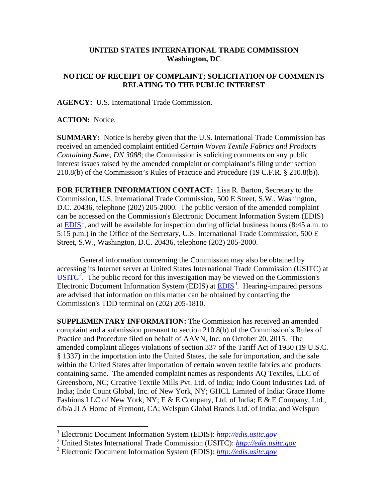## **UNITED STATES INTERNATIONAL TRADE COMMISSION Washington, DC**

## **NOTICE OF RECEIPT OF COMPLAINT; SOLICITATION OF COMMENTS RELATING TO THE PUBLIC INTEREST**

**AGENCY:** U.S. International Trade Commission.

**ACTION:** Notice.

**SUMMARY:** Notice is hereby given that the U.S. International Trade Commission has received an amended complaint entitled *Certain Woven Textile Fabrics and Products Containing Same, DN 3088*; the Commission is soliciting comments on any public interest issues raised by the amended complaint or complainant's filing under section 210.8(b) of the Commission's Rules of Practice and Procedure (19 C.F.R. § 210.8(b)).

**FOR FURTHER INFORMATION CONTACT:** Lisa R. Barton, Secretary to the Commission, U.S. International Trade Commission, 500 E Street, S.W., Washington, D.C. 20436, telephone (202) 205-2000. The public version of the amended complaint can be accessed on the Commission's Electronic Document Information System (EDIS) at  $EDIS<sup>1</sup>$  $EDIS<sup>1</sup>$  $EDIS<sup>1</sup>$ , and will be available for inspection during official business hours (8:45 a.m. to 5:15 p.m.) in the Office of the Secretary, U.S. International Trade Commission, 500 E Street, S.W., Washington, D.C. 20436, telephone (202) 205-2000.

General information concerning the Commission may also be obtained by accessing its Internet server at United States International Trade Commission (USITC) at  $\overline{\text{USITC}}^2$  $\overline{\text{USITC}}^2$  $\overline{\text{USITC}}^2$  $\overline{\text{USITC}}^2$ . The public record for this investigation may be viewed on the Commission's Electronic Document Information System (EDIS) at **EDIS**<sup>[3](#page-0-2)</sup>. Hearing-impaired persons are advised that information on this matter can be obtained by contacting the Commission's TDD terminal on (202) 205-1810.

**SUPPLEMENTARY INFORMATION:** The Commission has received an amended complaint and a submission pursuant to section 210.8(b) of the Commission's Rules of Practice and Procedure filed on behalf of AAVN, Inc. on October 20, 2015. The amended complaint alleges violations of section 337 of the Tariff Act of 1930 (19 U.S.C. § 1337) in the importation into the United States, the sale for importation, and the sale within the United States after importation of certain woven textile fabrics and products containing same. The amended complaint names as respondents AQ Textiles, LLC of Greensboro, NC; Creative Textile Mills Pvt. Ltd. of India; Indo Count Industries Ltd. of India; Indo Count Global, Inc. of New York, NY; GHCL Limited of India; Grace Home Fashions LLC of New York, NY; E & E Company, Ltd. of India; E & E Company, Ltd., d/b/a JLA Home of Fremont, CA; Welspun Global Brands Ltd. of India; and Welspun

<span id="page-0-0"></span> <sup>1</sup> Electronic Document Information System (EDIS): *[http://edis.usitc.gov](http://edis.usitc.gov/)*

<span id="page-0-1"></span><sup>2</sup> United States International Trade Commission (USITC): *[http://edis.usitc.gov](http://edis.usitc.gov/)*

<span id="page-0-2"></span><sup>3</sup> Electronic Document Information System (EDIS): *[http://edis.usitc.gov](http://edis.usitc.gov/)*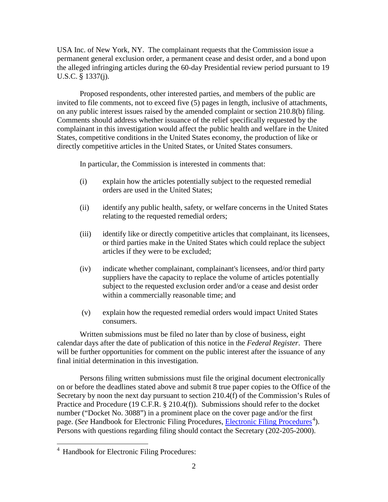USA Inc. of New York, NY. The complainant requests that the Commission issue a permanent general exclusion order, a permanent cease and desist order, and a bond upon the alleged infringing articles during the 60-day Presidential review period pursuant to 19 U.S.C. § 1337(j).

Proposed respondents, other interested parties, and members of the public are invited to file comments, not to exceed five (5) pages in length, inclusive of attachments, on any public interest issues raised by the amended complaint or section 210.8(b) filing. Comments should address whether issuance of the relief specifically requested by the complainant in this investigation would affect the public health and welfare in the United States, competitive conditions in the United States economy, the production of like or directly competitive articles in the United States, or United States consumers.

In particular, the Commission is interested in comments that:

- (i) explain how the articles potentially subject to the requested remedial orders are used in the United States;
- (ii) identify any public health, safety, or welfare concerns in the United States relating to the requested remedial orders;
- (iii) identify like or directly competitive articles that complainant, its licensees, or third parties make in the United States which could replace the subject articles if they were to be excluded;
- (iv) indicate whether complainant, complainant's licensees, and/or third party suppliers have the capacity to replace the volume of articles potentially subject to the requested exclusion order and/or a cease and desist order within a commercially reasonable time; and
- (v) explain how the requested remedial orders would impact United States consumers.

Written submissions must be filed no later than by close of business, eight calendar days after the date of publication of this notice in the *Federal Register*. There will be further opportunities for comment on the public interest after the issuance of any final initial determination in this investigation.

Persons filing written submissions must file the original document electronically on or before the deadlines stated above and submit 8 true paper copies to the Office of the Secretary by noon the next day pursuant to section 210.4(f) of the Commission's Rules of Practice and Procedure (19 C.F.R. § 210.4(f)). Submissions should refer to the docket number ("Docket No. 3088") in a prominent place on the cover page and/or the first page. (*See* Handbook for [Electronic Filing Procedures](http://www.usitc.gov/secretary/fed_reg_notices/rules/handbook_on_electronic_filing.pdf), *Electronic Filing Procedures*<sup>[4](#page-1-0)</sup>). Persons with questions regarding filing should contact the Secretary (202-205-2000).

<span id="page-1-0"></span> <sup>4</sup> Handbook for Electronic Filing Procedures: